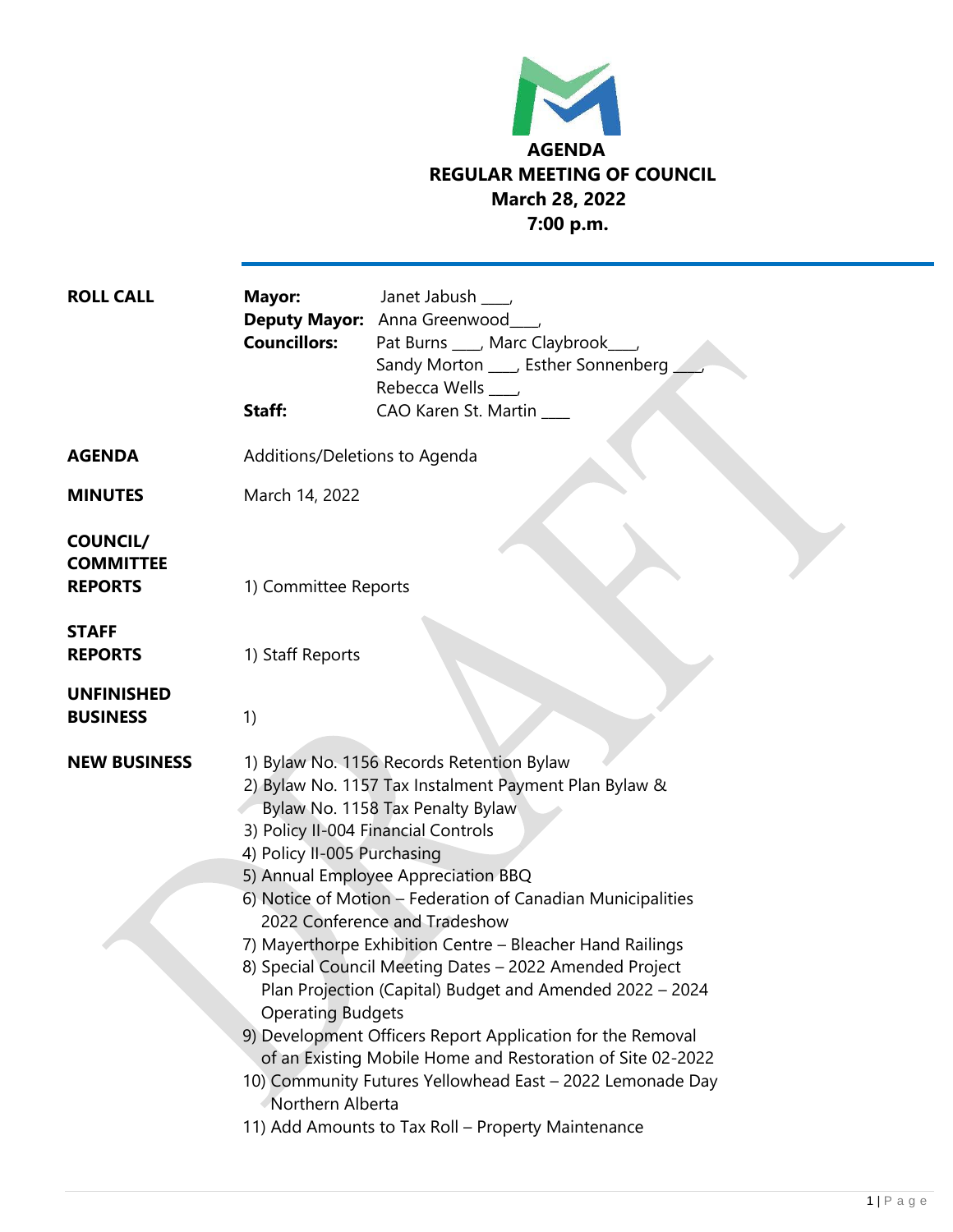

| <b>ROLL CALL</b>                                      | Mayor:<br><b>Councillors:</b><br>Staff:                                                                                                                                                                                                                                                                                                                                                                                                                                                                                                                                                                                           | Janet Jabush ___<br>Deputy Mayor: Anna Greenwood_<br>Pat Burns ____, Marc Claybrook_<br>Sandy Morton ____, Esther Sonnenberg<br>Rebecca Wells ____<br>CAO Karen St. Martin |
|-------------------------------------------------------|-----------------------------------------------------------------------------------------------------------------------------------------------------------------------------------------------------------------------------------------------------------------------------------------------------------------------------------------------------------------------------------------------------------------------------------------------------------------------------------------------------------------------------------------------------------------------------------------------------------------------------------|----------------------------------------------------------------------------------------------------------------------------------------------------------------------------|
| <b>AGENDA</b>                                         | Additions/Deletions to Agenda                                                                                                                                                                                                                                                                                                                                                                                                                                                                                                                                                                                                     |                                                                                                                                                                            |
| <b>MINUTES</b>                                        | March 14, 2022                                                                                                                                                                                                                                                                                                                                                                                                                                                                                                                                                                                                                    |                                                                                                                                                                            |
| <b>COUNCIL/</b><br><b>COMMITTEE</b><br><b>REPORTS</b> | 1) Committee Reports                                                                                                                                                                                                                                                                                                                                                                                                                                                                                                                                                                                                              |                                                                                                                                                                            |
| <b>STAFF</b><br><b>REPORTS</b>                        | 1) Staff Reports                                                                                                                                                                                                                                                                                                                                                                                                                                                                                                                                                                                                                  |                                                                                                                                                                            |
| <b>UNFINISHED</b><br><b>BUSINESS</b>                  | 1)                                                                                                                                                                                                                                                                                                                                                                                                                                                                                                                                                                                                                                |                                                                                                                                                                            |
| <b>NEW BUSINESS</b>                                   | 1) Bylaw No. 1156 Records Retention Bylaw<br>2) Bylaw No. 1157 Tax Instalment Payment Plan Bylaw &<br>Bylaw No. 1158 Tax Penalty Bylaw<br>3) Policy II-004 Financial Controls<br>4) Policy II-005 Purchasing<br>5) Annual Employee Appreciation BBQ<br>6) Notice of Motion - Federation of Canadian Municipalities<br>2022 Conference and Tradeshow<br>7) Mayerthorpe Exhibition Centre - Bleacher Hand Railings<br>8) Special Council Meeting Dates - 2022 Amended Project<br>Plan Projection (Capital) Budget and Amended 2022 - 2024<br><b>Operating Budgets</b><br>9) Development Officers Report Application for the Removal |                                                                                                                                                                            |
|                                                       | of an Existing Mobile Home and Restoration of Site 02-2022<br>10) Community Futures Yellowhead East - 2022 Lemonade Day<br>Northern Alberta<br>11) Add Amounts to Tax Roll - Property Maintenance                                                                                                                                                                                                                                                                                                                                                                                                                                 |                                                                                                                                                                            |